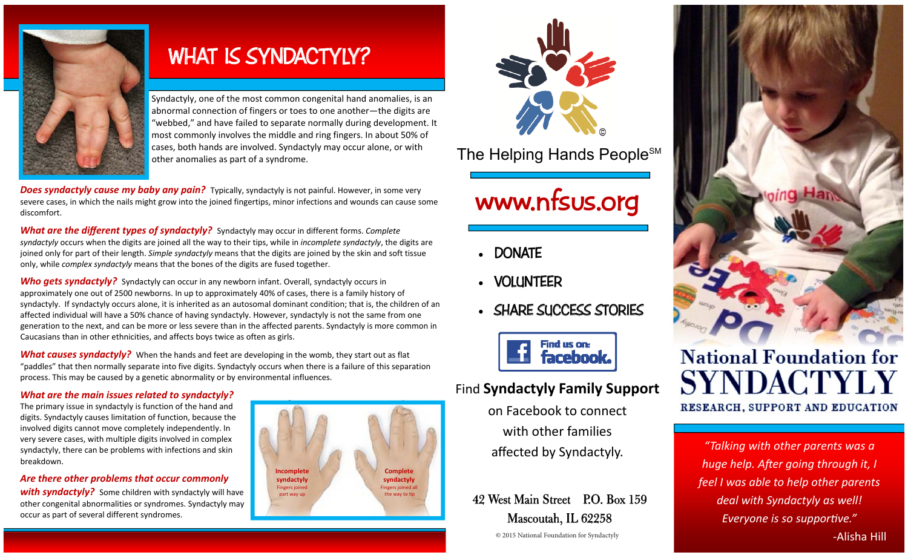

# **WHAT IS SYNDACTYLY?**

Syndactyly, one of the most common congenital hand anomalies, is an abnormal connection of fingers or toes to one another—the digits are "webbed," and have failed to separate normally during development. It most commonly involves the middle and ring fingers. In about 50% of cases, both hands are involved. Syndactyly may occur alone, or with other anomalies as part of a syndrome.

*Does syndactyly cause my baby any pain?* Typically, syndactyly is not painful. However, in some very severe cases, in which the nails might grow into the joined fingertips, minor infections and wounds can cause some discomfort.

*What are the different types of syndactyly?* Syndactyly may occur in different forms. *Complete syndactyly* occurs when the digits are joined all the way to their tips, while in *incomplete syndactyly*, the digits are joined only for part of their length. *Simple syndactyly* means that the digits are joined by the skin and soft tissue only, while *complex syndactyly* means that the bones of the digits are fused together.

**Who gets syndactyly?** Syndactyly can occur in any newborn infant. Overall, syndactyly occurs in approximately one out of 2500 newborns. In up to approximately 40% of cases, there is a family history of syndactyly. If syndactyly occurs alone, it is inherited as an autosomal dominant condition; that is, the children of an affected individual will have a 50% chance of having syndactyly. However, syndactyly is not the same from one generation to the next, and can be more or less severe than in the affected parents. Syndactyly is more common in Caucasians than in other ethnicities, and affects boys twice as often as girls.

*What causes syndactyly?* When the hands and feet are developing in the womb, they start out as flat "paddles" that then normally separate into five digits. Syndactyly occurs when there is a failure of this separation process. This may be caused by a genetic abnormality or by environmental influences.

### *What are the main issues related to syndactyly?*

The primary issue in syndactyly is function of the hand and digits. Syndactyly causes limitation of function, because the involved digits cannot move completely independently. In very severe cases, with multiple digits involved in complex syndactyly, there can be problems with infections and skin breakdown.

### *Are there other problems that occur commonly*

**with syndactyly?** Some children with syndactyly will have other congenital abnormalities or syndromes. Syndactyly may occur as part of several different syndromes.





The Helping Hands People<sup>SM</sup>

# **www.nfsus.org**

- **DONATE**
- **VOLUNTEER**
- **SHARE SUCCESS STORIES**



### Find **Syndactyly Family Support**

on Facebook to connect with other families affected by Syndactyly.

42 West Main Street P.O. Box 159 Mascoutah, IL 62258



## **National Foundation for SYNDACTY** RESEARCH, SUPPORT AND EDUCATION

*"Talking with other parents was a huge help. A�er going through it, I feel I was able to help other parents deal with Syndactyly as well! Everyone is so suppor�ve."* **COLUS A** 2015 National Foundation for Syndactyly **Alison and Columbus 2016 National Foundation for Syndactyly**